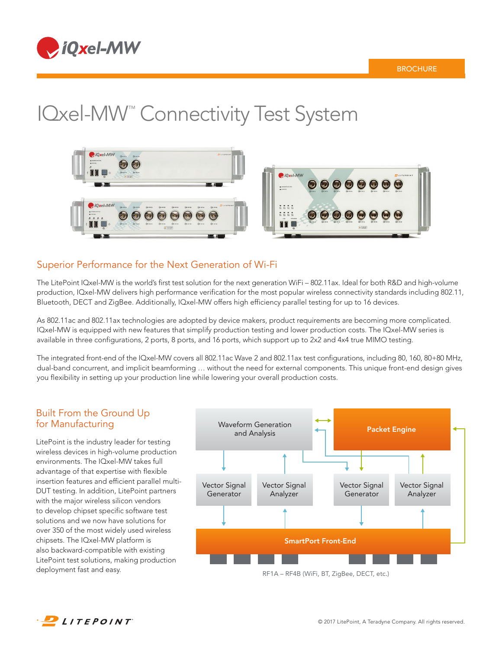

# IQxel-MW<sup>™</sup> Connectivity Test System



# Superior Performance for the Next Generation of Wi-Fi

The LitePoint IQxel-MW is the world's first test solution for the next generation WiFi – 802.11ax. Ideal for both R&D and high-volume production, IQxel-MW delivers high performance verification for the most popular wireless connectivity standards including 802.11, Bluetooth, DECT and ZigBee. Additionally, IQxel-MW offers high efficiency parallel testing for up to 16 devices.

As 802.11ac and 802.11ax technologies are adopted by device makers, product requirements are becoming more complicated. IQxel-MW is equipped with new features that simplify production testing and lower production costs. The IQxel-MW series is available in three configurations, 2 ports, 8 ports, and 16 ports, which support up to 2x2 and 4x4 true MIMO testing.

The integrated front-end of the IQxel-MW covers all 802.11ac Wave 2 and 802.11ax test configurations, including 80, 160, 80+80 MHz, dual-band concurrent, and implicit beamforming … without the need for external components. This unique front-end design gives you flexibility in setting up your production line while lowering your overall production costs.

# Built From the Ground Up for Manufacturing

LitePoint is the industry leader for testing wireless devices in high-volume production environments. The IQxel-MW takes full advantage of that expertise with flexible insertion features and efficient parallel multi-DUT testing. In addition, LitePoint partners with the major wireless silicon vendors to develop chipset specific software test solutions and we now have solutions for over 350 of the most widely used wireless chipsets. The IQxel-MW platform is also backward-compatible with existing LitePoint test solutions, making production deployment fast and easy.